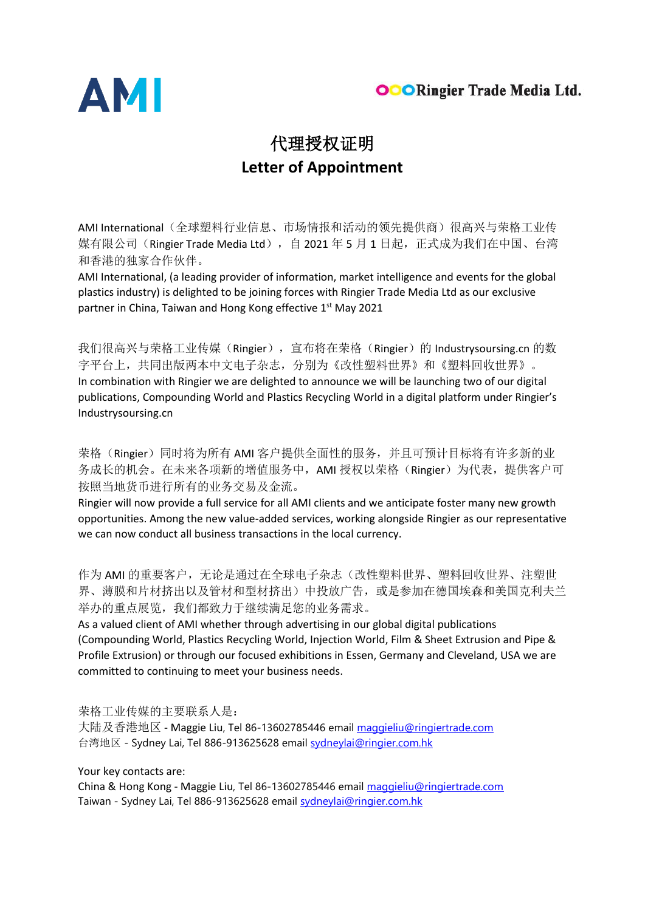



## 代理授权证明 **Letter of Appointment**

AMI International (全球塑料行业信息、市场情报和活动的领先提供商)很高兴与荣格工业传 媒有限公司(Ringier Trade Media Ltd), 自 2021 年 5 月 1 日起, 正式成为我们在中国、台湾 和香港的独家合作伙伴。

AMI International, (a leading provider of information, market intelligence and events for the global plastics industry) is delighted to be joining forces with Ringier Trade Media Ltd as our exclusive partner in China, Taiwan and Hong Kong effective 1st May 2021

我们很高兴与荣格工业传媒(Ringier), 宣布将在荣格(Ringier)的 Industrysoursing.cn 的数 字平台上,共同出版两本中文电子杂志,分别为《改性塑料世界》和《塑料回收世界》。 In combination with Ringier we are delighted to announce we will be launching two of our digital publications, Compounding World and Plastics Recycling World in a digital platform under Ringier's Industrysoursing.cn

荣格(Ringier)同时将为所有 AMI 客户提供全面性的服务, 并且可预计目标将有许多新的业 务成长的机会。在未来各项新的增值服务中,AMI 授权以荣格(Ringier)为代表,提供客户可 按照当地货币进行所有的业务交易及金流。

Ringier will now provide a full service for all AMI clients and we anticipate foster many new growth opportunities. Among the new value-added services, working alongside Ringier as our representative we can now conduct all business transactions in the local currency.

作为 AMI 的重要客户,无论是通过在全球电子杂志(改性塑料世界、塑料回收世界、注塑世 界、薄膜和片材挤出以及管材和型材挤出)中投放广告,或是参加在德国埃森和美国克利夫兰 举办的重点展览,我们都致力于继续满足您的业务需求。

As a valued client of AMI whether through advertising in our global digital publications (Compounding World, Plastics Recycling World, Injection World, Film & Sheet Extrusion and Pipe & Profile Extrusion) or through our focused exhibitions in Essen, Germany and Cleveland, USA we are committed to continuing to meet your business needs.

荣格工业传媒的主要联系人是:

大陆及香港地区 - Maggie Liu, Tel 86-13602785446 email [maggieliu@ringiertrade.com](mailto:maggieliu@ringiertrade.com) 台湾地区 - Sydney Lai, Tel 886-913625628 email [sydneylai@ringier.com.hk](mailto:sydneylai@ringier.com.hk)

Your key contacts are:

China & Hong Kong - Maggie Liu, Tel 86-13602785446 email [maggieliu@ringiertrade.com](mailto:maggieliu@ringiertrade.com) Taiwan - Sydney Lai, Tel 886-913625628 email [sydneylai@ringier.com.hk](mailto:sydneylai@ringier.com.hk)